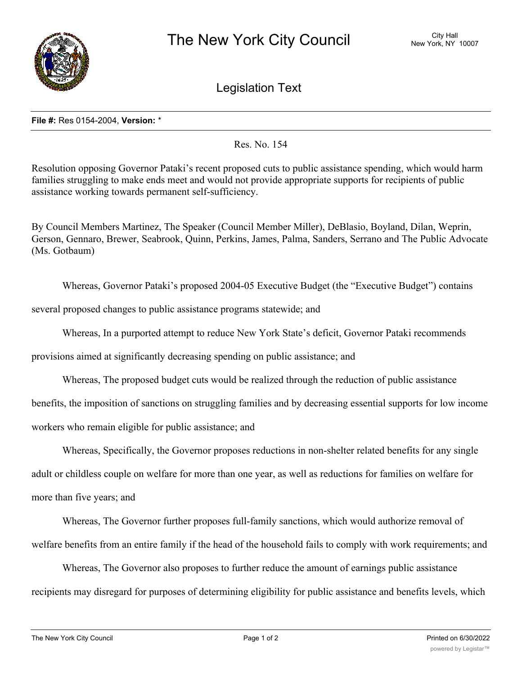

Legislation Text

## **File #:** Res 0154-2004, **Version:** \*

Res. No. 154

Resolution opposing Governor Pataki's recent proposed cuts to public assistance spending, which would harm families struggling to make ends meet and would not provide appropriate supports for recipients of public assistance working towards permanent self-sufficiency.

By Council Members Martinez, The Speaker (Council Member Miller), DeBlasio, Boyland, Dilan, Weprin, Gerson, Gennaro, Brewer, Seabrook, Quinn, Perkins, James, Palma, Sanders, Serrano and The Public Advocate (Ms. Gotbaum)

Whereas, Governor Pataki's proposed 2004-05 Executive Budget (the "Executive Budget") contains

several proposed changes to public assistance programs statewide; and

Whereas, In a purported attempt to reduce New York State's deficit, Governor Pataki recommends

provisions aimed at significantly decreasing spending on public assistance; and

Whereas, The proposed budget cuts would be realized through the reduction of public assistance benefits, the imposition of sanctions on struggling families and by decreasing essential supports for low income workers who remain eligible for public assistance; and

Whereas, Specifically, the Governor proposes reductions in non-shelter related benefits for any single adult or childless couple on welfare for more than one year, as well as reductions for families on welfare for more than five years; and

Whereas, The Governor further proposes full-family sanctions, which would authorize removal of welfare benefits from an entire family if the head of the household fails to comply with work requirements; and

Whereas, The Governor also proposes to further reduce the amount of earnings public assistance recipients may disregard for purposes of determining eligibility for public assistance and benefits levels, which